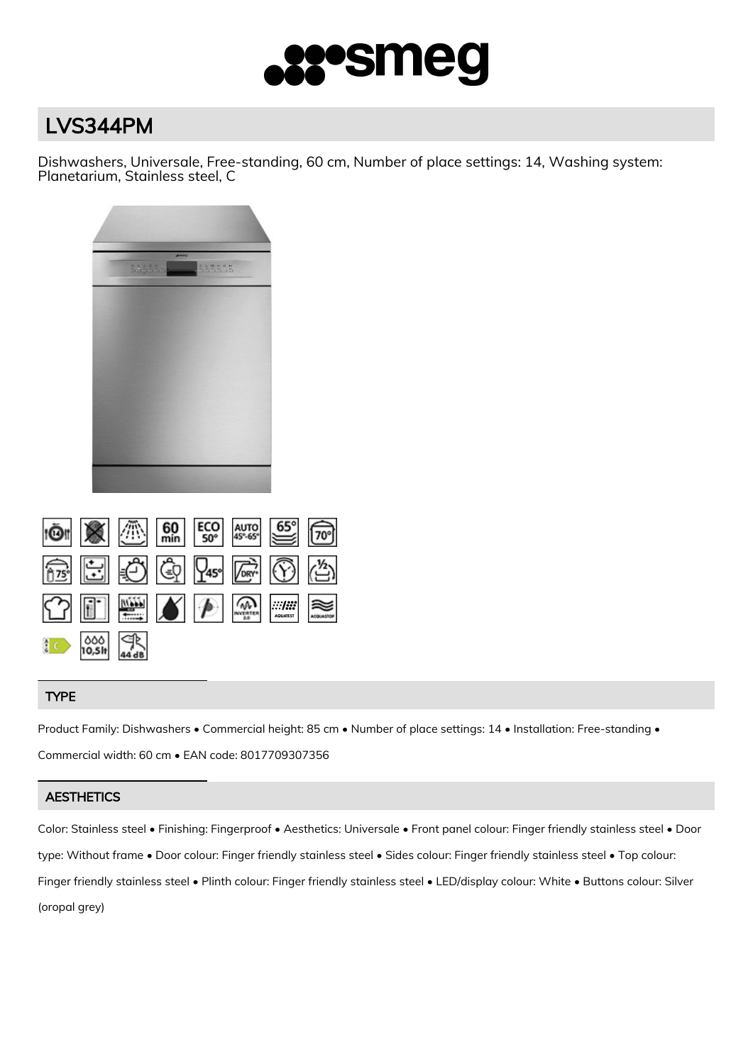

# LVS344PM

Dishwashers, Universale, Free-standing, 60 cm, Number of place settings: 14, Washing system: Planetarium, Stainless steel, C

| <b>Allen</b>                                     |        |  |
|--------------------------------------------------|--------|--|
| $\mathbb{S}^2$ , $\mathbb{S}^2$ , $\mathbb{S}^2$ | 555555 |  |
|                                                  |        |  |
|                                                  |        |  |
|                                                  |        |  |
|                                                  |        |  |
|                                                  |        |  |
|                                                  |        |  |
|                                                  |        |  |
|                                                  |        |  |
|                                                  |        |  |
|                                                  |        |  |
|                                                  |        |  |
|                                                  |        |  |
|                                                  |        |  |
|                                                  |        |  |

|            |  | $\circledcirc$ $\circledcirc$ $\circledcirc$ $\circledcirc$ $\circledcirc$ $\circledcirc$ $\circledcirc$                                                                                                                                                                                                                                      |  |
|------------|--|-----------------------------------------------------------------------------------------------------------------------------------------------------------------------------------------------------------------------------------------------------------------------------------------------------------------------------------------------|--|
|            |  | $\begin{picture}(45,14) \put(0,0){\line(1,0){155}} \put(15,0){\line(1,0){155}} \put(15,0){\line(1,0){155}} \put(15,0){\line(1,0){155}} \put(15,0){\line(1,0){155}} \put(15,0){\line(1,0){155}} \put(15,0){\line(1,0){155}} \put(15,0){\line(1,0){155}} \put(15,0){\line(1,0){155}} \put(15,0){\line(1,0){155}} \put(15,0){\line(1,0){155}} \$ |  |
| $16$ 000 P |  |                                                                                                                                                                                                                                                                                                                                               |  |

## TYPE

Product Family: Dishwashers • Commercial height: 85 cm • Number of place settings: 14 • Installation: Free-standing • Commercial width: 60 cm • EAN code: 8017709307356

# **AESTHETICS**

Color: Stainless steel • Finishing: Fingerproof • Aesthetics: Universale • Front panel colour: Finger friendly stainless steel • Door type: Without frame • Door colour: Finger friendly stainless steel • Sides colour: Finger friendly stainless steel • Top colour: Finger friendly stainless steel • Plinth colour: Finger friendly stainless steel • LED/display colour: White • Buttons colour: Silver (oropal grey)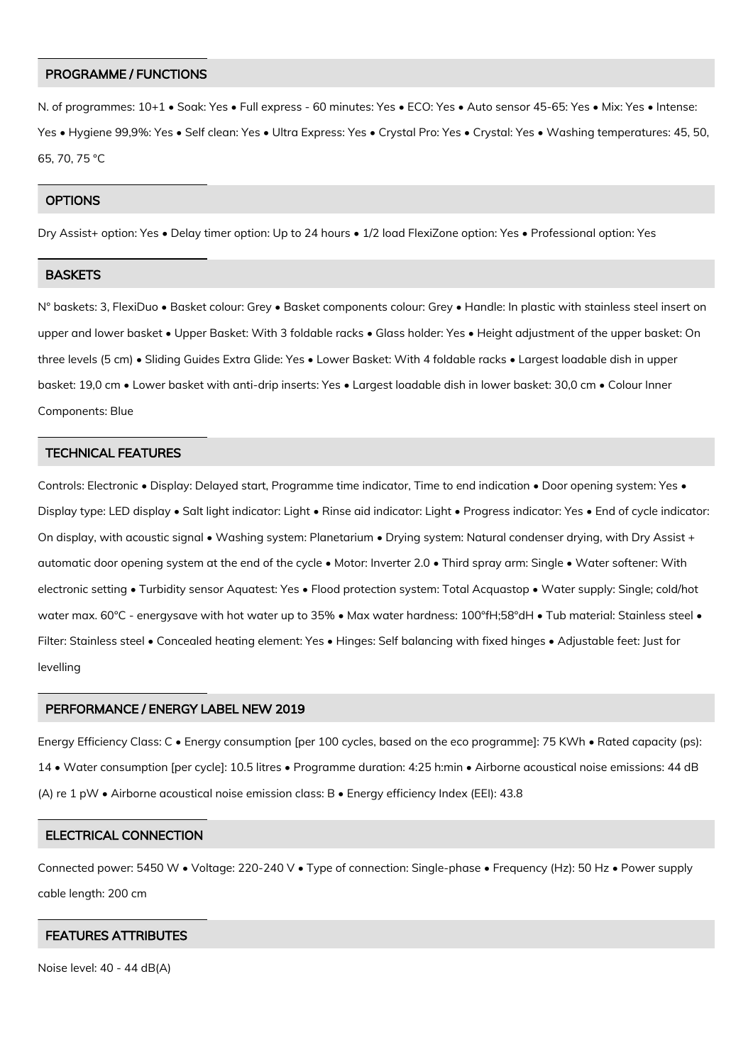#### PROGRAMME / FUNCTIONS

N. of programmes: 10+1 • Soak: Yes • Full express - 60 minutes: Yes • ECO: Yes • Auto sensor 45-65: Yes • Mix: Yes • Intense: Yes • Hygiene 99,9%: Yes • Self clean: Yes • Ultra Express: Yes • Crystal Pro: Yes • Crystal: Yes • Washing temperatures: 45, 50, 65, 70, 75 °C

## **OPTIONS**

Dry Assist+ option: Yes • Delay timer option: Up to 24 hours • 1/2 load FlexiZone option: Yes • Professional option: Yes

## **BASKETS**

N° baskets: 3, FlexiDuo • Basket colour: Grey • Basket components colour: Grey • Handle: In plastic with stainless steel insert on upper and lower basket • Upper Basket: With 3 foldable racks • Glass holder: Yes • Height adjustment of the upper basket: On three levels (5 cm) • Sliding Guides Extra Glide: Yes • Lower Basket: With 4 foldable racks • Largest loadable dish in upper basket: 19,0 cm • Lower basket with anti-drip inserts: Yes • Largest loadable dish in lower basket: 30,0 cm • Colour Inner Components: Blue

#### TECHNICAL FEATURES

Controls: Electronic • Display: Delayed start, Programme time indicator, Time to end indication • Door opening system: Yes • Display type: LED display • Salt light indicator: Light • Rinse aid indicator: Light • Progress indicator: Yes • End of cycle indicator: On display, with acoustic signal • Washing system: Planetarium • Drying system: Natural condenser drying, with Dry Assist + automatic door opening system at the end of the cycle • Motor: Inverter 2.0 • Third spray arm: Single • Water softener: With electronic setting • Turbidity sensor Aquatest: Yes • Flood protection system: Total Acquastop • Water supply: Single; cold/hot water max. 60°C - energysave with hot water up to 35% • Max water hardness: 100°fH;58°dH • Tub material: Stainless steel • Filter: Stainless steel • Concealed heating element: Yes • Hinges: Self balancing with fixed hinges • Adjustable feet: Just for levelling

#### PERFORMANCE / ENERGY LABEL NEW 2019

Energy Efficiency Class: C • Energy consumption [per 100 cycles, based on the eco programme]: 75 KWh • Rated capacity (ps): 14 • Water consumption [per cycle]: 10.5 litres • Programme duration: 4:25 h:min • Airborne acoustical noise emissions: 44 dB (A) re 1 pW • Airborne acoustical noise emission class: B • Energy efficiency Index (EEI): 43.8

#### ELECTRICAL CONNECTION

Connected power: 5450 W • Voltage: 220-240 V • Type of connection: Single-phase • Frequency (Hz): 50 Hz • Power supply cable length: 200 cm

## FEATURES ATTRIBUTES

Noise level: 40 - 44 dB(A)